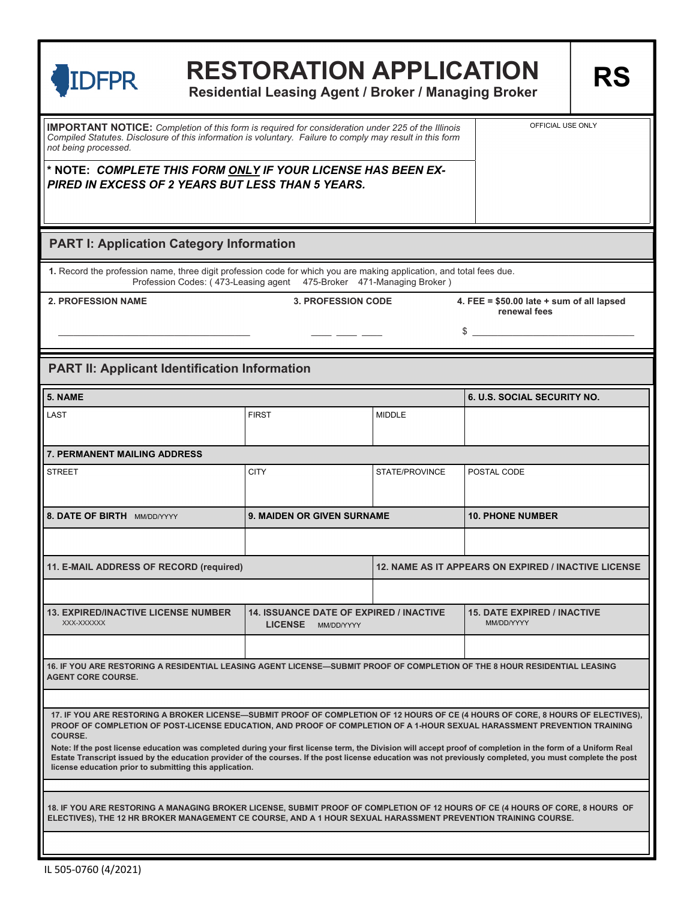| <b>RESTORATION APPLICATION</b><br><b>DFPR</b><br>Residential Leasing Agent / Broker / Managing Broker                                                                                                                                                                                                                                                                                                                                                                                                                                                                                                                                                                 | RS                                                                             |                                                             |                                                  |                         |  |  |  |  |  |  |  |
|-----------------------------------------------------------------------------------------------------------------------------------------------------------------------------------------------------------------------------------------------------------------------------------------------------------------------------------------------------------------------------------------------------------------------------------------------------------------------------------------------------------------------------------------------------------------------------------------------------------------------------------------------------------------------|--------------------------------------------------------------------------------|-------------------------------------------------------------|--------------------------------------------------|-------------------------|--|--|--|--|--|--|--|
| OFFICIAL USE ONLY<br><b>IMPORTANT NOTICE:</b> Completion of this form is required for consideration under 225 of the Illinois<br>Compiled Statutes. Disclosure of this information is voluntary. Failure to comply may result in this form<br>not being processed.<br>* NOTE: COMPLETE THIS FORM ONLY IF YOUR LICENSE HAS BEEN EX-<br>PIRED IN EXCESS OF 2 YEARS BUT LESS THAN 5 YEARS.                                                                                                                                                                                                                                                                               |                                                                                |                                                             |                                                  |                         |  |  |  |  |  |  |  |
| <b>PART I: Application Category Information</b>                                                                                                                                                                                                                                                                                                                                                                                                                                                                                                                                                                                                                       |                                                                                |                                                             |                                                  |                         |  |  |  |  |  |  |  |
| 1. Record the profession name, three digit profession code for which you are making application, and total fees due.<br>Profession Codes: (473-Leasing agent 475-Broker 471-Managing Broker)                                                                                                                                                                                                                                                                                                                                                                                                                                                                          |                                                                                |                                                             |                                                  |                         |  |  |  |  |  |  |  |
| <b>2. PROFESSION NAME</b>                                                                                                                                                                                                                                                                                                                                                                                                                                                                                                                                                                                                                                             | <b>3. PROFESSION CODE</b>                                                      | 4. FEE = $$50.00$ late + sum of all lapsed<br>renewal fees  |                                                  |                         |  |  |  |  |  |  |  |
| <b>PART II: Applicant Identification Information</b>                                                                                                                                                                                                                                                                                                                                                                                                                                                                                                                                                                                                                  |                                                                                |                                                             |                                                  |                         |  |  |  |  |  |  |  |
| 5. NAME                                                                                                                                                                                                                                                                                                                                                                                                                                                                                                                                                                                                                                                               |                                                                                |                                                             | <b>6. U.S. SOCIAL SECURITY NO.</b>               |                         |  |  |  |  |  |  |  |
| LAST                                                                                                                                                                                                                                                                                                                                                                                                                                                                                                                                                                                                                                                                  | <b>FIRST</b>                                                                   | <b>MIDDLE</b>                                               |                                                  |                         |  |  |  |  |  |  |  |
| <b>7. PERMANENT MAILING ADDRESS</b>                                                                                                                                                                                                                                                                                                                                                                                                                                                                                                                                                                                                                                   |                                                                                |                                                             |                                                  |                         |  |  |  |  |  |  |  |
| <b>STREET</b>                                                                                                                                                                                                                                                                                                                                                                                                                                                                                                                                                                                                                                                         | <b>CITY</b>                                                                    | STATE/PROVINCE                                              | POSTAL CODE                                      |                         |  |  |  |  |  |  |  |
| 8. DATE OF BIRTH MM/DD/YYYY                                                                                                                                                                                                                                                                                                                                                                                                                                                                                                                                                                                                                                           |                                                                                | <b>9. MAIDEN OR GIVEN SURNAME</b>                           |                                                  | <b>10. PHONE NUMBER</b> |  |  |  |  |  |  |  |
| 11. E-MAIL ADDRESS OF RECORD (required)                                                                                                                                                                                                                                                                                                                                                                                                                                                                                                                                                                                                                               |                                                                                | <b>12. NAME AS IT APPEARS ON EXPIRED / INACTIVE LICENSE</b> |                                                  |                         |  |  |  |  |  |  |  |
| <b>13. EXPIRED/INACTIVE LICENSE NUMBER</b><br>XXX-XXXXXX                                                                                                                                                                                                                                                                                                                                                                                                                                                                                                                                                                                                              | <b>14. ISSUANCE DATE OF EXPIRED / INACTIVE</b><br><b>LICENSE</b><br>MM/DD/YYYY |                                                             | <b>15. DATE EXPIRED / INACTIVE</b><br>MM/DD/YYYY |                         |  |  |  |  |  |  |  |
| 16. IF YOU ARE RESTORING A RESIDENTIAL LEASING AGENT LICENSE—SUBMIT PROOF OF COMPLETION OF THE 8 HOUR RESIDENTIAL LEASING<br><b>AGENT CORE COURSE.</b>                                                                                                                                                                                                                                                                                                                                                                                                                                                                                                                |                                                                                |                                                             |                                                  |                         |  |  |  |  |  |  |  |
| 17. IF YOU ARE RESTORING A BROKER LICENSE—SUBMIT PROOF OF COMPLETION OF 12 HOURS OF CE (4 HOURS OF CORE, 8 HOURS OF ELECTIVES),<br>PROOF OF COMPLETION OF POST-LICENSE EDUCATION, AND PROOF OF COMPLETION OF A 1-HOUR SEXUAL HARASSMENT PREVENTION TRAINING<br><b>COURSE.</b><br>Note: If the post license education was completed during your first license term, the Division will accept proof of completion in the form of a Uniform Real<br>Estate Transcript issued by the education provider of the courses. If the post license education was not previously completed, you must complete the post<br>license education prior to submitting this application. |                                                                                |                                                             |                                                  |                         |  |  |  |  |  |  |  |
| 18. IF YOU ARE RESTORING A MANAGING BROKER LICENSE, SUBMIT PROOF OF COMPLETION OF 12 HOURS OF CE (4 HOURS OF CORE, 8 HOURS OF<br>ELECTIVES), THE 12 HR BROKER MANAGEMENT CE COURSE, AND A 1 HOUR SEXUAL HARASSMENT PREVENTION TRAINING COURSE.                                                                                                                                                                                                                                                                                                                                                                                                                        |                                                                                |                                                             |                                                  |                         |  |  |  |  |  |  |  |